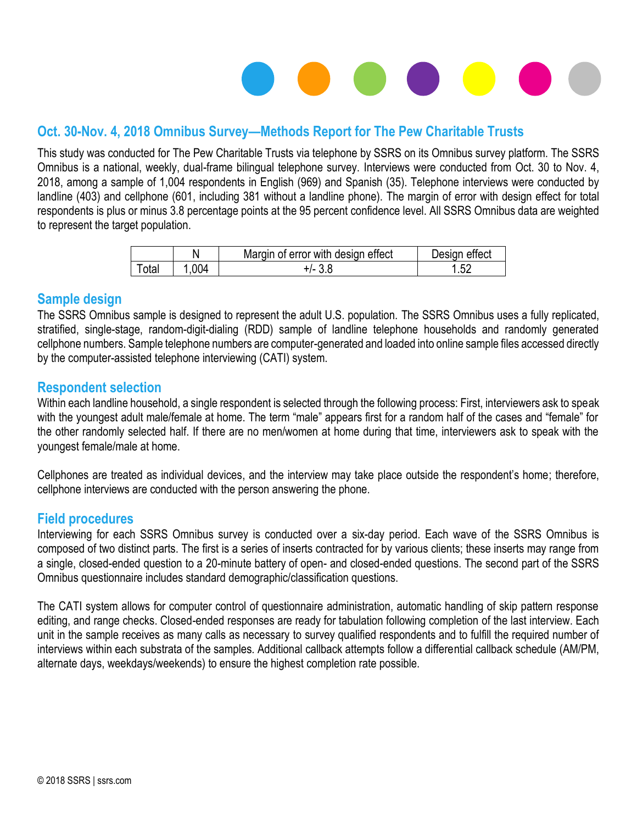# 

### **Oct. 30-Nov. 4, 2018 Omnibus Survey—Methods Report for The Pew Charitable Trusts**

This study was conducted for The Pew Charitable Trusts via telephone by SSRS on its Omnibus survey platform. The SSRS Omnibus is a national, weekly, dual-frame bilingual telephone survey. Interviews were conducted from Oct. 30 to Nov. 4, 2018, among a sample of 1,004 respondents in English (969) and Spanish (35). Telephone interviews were conducted by landline (403) and cellphone (601, including 381 without a landline phone). The margin of error with design effect for total respondents is plus or minus 3.8 percentage points at the 95 percent confidence level. All SSRS Omnibus data are weighted to represent the target population.

|                  |     | Margin of error with design effect | Design effect |
|------------------|-----|------------------------------------|---------------|
| $\mathsf{Total}$ | 004 |                                    | - ົົ          |

#### **Sample design**

The SSRS Omnibus sample is designed to represent the adult U.S. population. The SSRS Omnibus uses a fully replicated, stratified, single-stage, random-digit-dialing (RDD) sample of landline telephone households and randomly generated cellphone numbers. Sample telephone numbers are computer-generated and loaded into online sample files accessed directly by the computer-assisted telephone interviewing (CATI) system.

#### **Respondent selection**

Within each landline household, a single respondent is selected through the following process: First, interviewers ask to speak with the youngest adult male/female at home. The term "male" appears first for a random half of the cases and "female" for the other randomly selected half. If there are no men/women at home during that time, interviewers ask to speak with the youngest female/male at home.

Cellphones are treated as individual devices, and the interview may take place outside the respondent's home; therefore, cellphone interviews are conducted with the person answering the phone.

#### **Field procedures**

Interviewing for each SSRS Omnibus survey is conducted over a six-day period. Each wave of the SSRS Omnibus is composed of two distinct parts. The first is a series of inserts contracted for by various clients; these inserts may range from a single, closed-ended question to a 20-minute battery of open- and closed-ended questions. The second part of the SSRS Omnibus questionnaire includes standard demographic/classification questions.

The CATI system allows for computer control of questionnaire administration, automatic handling of skip pattern response editing, and range checks. Closed-ended responses are ready for tabulation following completion of the last interview. Each unit in the sample receives as many calls as necessary to survey qualified respondents and to fulfill the required number of interviews within each substrata of the samples. Additional callback attempts follow a differential callback schedule (AM/PM, alternate days, weekdays/weekends) to ensure the highest completion rate possible.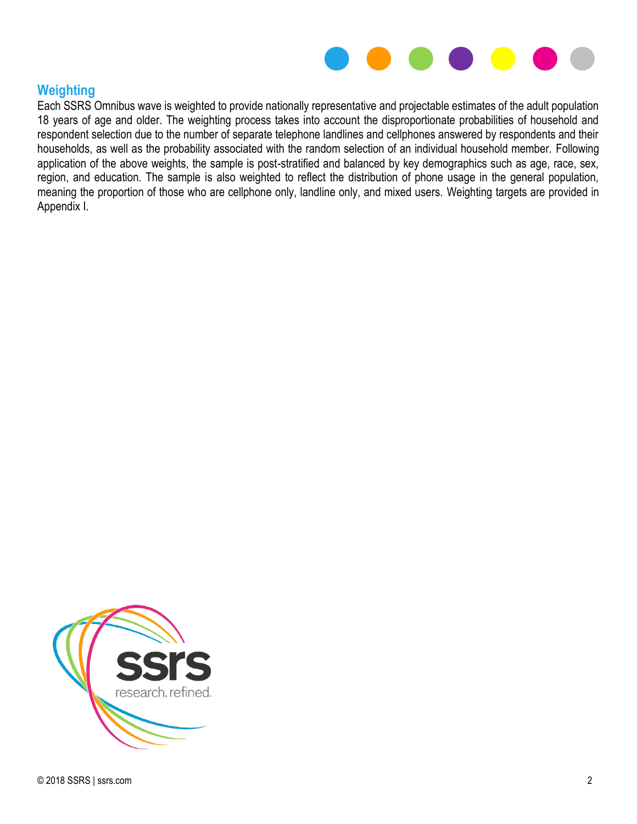

#### **Weighting**

Each SSRS Omnibus wave is weighted to provide nationally representative and projectable estimates of the adult population 18 years of age and older. The weighting process takes into account the disproportionate probabilities of household and respondent selection due to the number of separate telephone landlines and cellphones answered by respondents and their households, as well as the probability associated with the random selection of an individual household member. Following application of the above weights, the sample is post-stratified and balanced by key demographics such as age, race, sex, region, and education. The sample is also weighted to reflect the distribution of phone usage in the general population, meaning the proportion of those who are cellphone only, landline only, and mixed users. Weighting targets are provided in Appendix I.